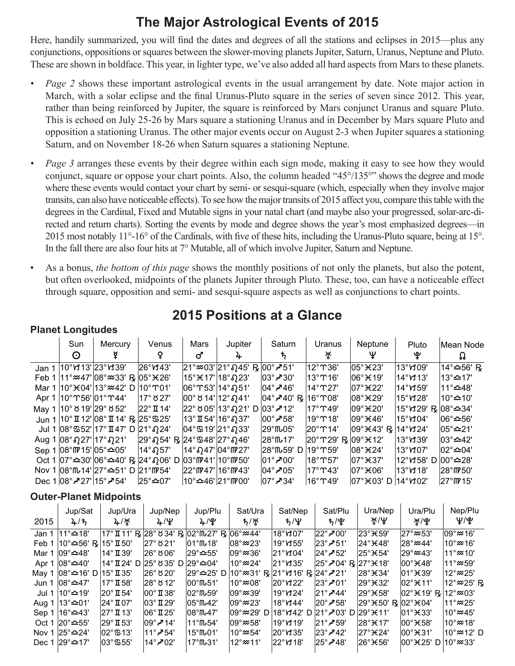### **The Major Astrological Events of 2015**

Here, handily summarized, you will find the dates and degrees of all the stations and eclipses in 2015—plus any conjunctions, oppositions or squares between the slower-moving planets Jupiter, Saturn, Uranus, Neptune and Pluto. These are shown in boldface. This year, in lighter type, we've also added all hard aspects from Mars to these planets.

- *• Page 2* shows these important astrological events in the usual arrangement by date. Note major action in March, with a solar eclipse and the final Uranus-Pluto square in the series of seven since 2012. This year, rather than being reinforced by Jupiter, the square is reinforced by Mars conjunct Uranus and square Pluto. This is echoed on July 25-26 by Mars square a stationing Uranus and in December by Mars square Pluto and opposition a stationing Uranus. The other major events occur on August 2-3 when Jupiter squares a stationing Saturn, and on November 18-26 when Saturn squares a stationing Neptune.
- *• Page 3* arranges these events by their degree within each sign mode, making it easy to see how they would conjunct, square or oppose your chart points. Also, the column headed "45°/135°" shows the degree and mode where these events would contact your chart by semi- or sesqui-square (which, especially when they involve major transits, can also have noticeable effects). To see how the major transits of 2015 affect you, compare this table with the degrees in the Cardinal, Fixed and Mutable signs in your natal chart (and maybe also your progressed, solar-arc-directed and return charts). Sorting the events by mode and degree shows the year's most emphasized degrees—in 2015 most notably 11°-16° of the Cardinals, with five of these hits, including the Uranus-Pluto square, being at 15°. In the fall there are also four hits at 7° Mutable, all of which involve Jupiter, Saturn and Neptune.
- As a bonus, *the bottom of this page* shows the monthly positions of not only the planets, but also the potent, but often overlooked, midpoints of the planets Jupiter through Pluto. These, too, can have a noticeable effect through square, opposition and semi- and sesqui-square aspects as well as conjunctions to chart points.

#### Sun  $\odot$ **Mercury** º Venus » **Mars** ¼ Jupiter ½ **Saturn**  $\bm{\mathsf{t}}$ Uranus ¿ **Neptune**  $\mathsf{\Psi}$ Pluto Á Mean Node  $\Omega$ Jan 1 <sup>|</sup>10°ៀ13' 23°ៀ39' |26°ៀ43' |21°≈03' 21° ຄ 45' ℝ <mark>00° ≁51' |12°</mark> m36' |05° ¥23' |13°ៀ09' |14°≏56' ℝ  $\mathsf{Feb} 1 \, | 11^{\circ} \mathfrak{B}^{\prime} 108^{\circ} \mathfrak{B}^{\prime} 33' \cdot R | 05^{\circ} \mathfrak{B}^{\prime} 26' | 15^{\circ} \mathfrak{B}^{\prime} 17' | 18^{\circ} \Omega 23' | 03^{\circ} \mathcal{A}^{\prime} 30' | 13^{\circ} \mathfrak{D}^{\prime} 16' | 06^{\circ} \mathfrak{B}^{\prime} 19' | 14^{\circ} \mathfrak{B}^{\prime} 13' | 13^{\circ} \mathfrak{$ Mar 1 |10° $*$ 04' |13°‱42' D |10° °01' |06° °C3' |14° $*$ 51' |04°  $\overline{P}$ 46' |14° °Q27' |07° $*$ 22' |14°₩559' |11°≏48' Apr 1  $|10^{\circ}$  T56' $|01^{\circ}$  T44'  $|17^{\circ}$   $827'$   $|00^{\circ}$   $814' |12^{\circ}$   $q$ 41'  $|04^{\circ}$   $\neq$  40'  $\frac{1}{8}$   $|16^{\circ}$  T08'  $|8^{\circ}$   $\angle$  29'  $|15^{\circ}$   $y$  28'  $|10^{\circ}$   $\righthat{$   $-10'$ May 1 |10° ∀ 19'|29° ∀ 52' |22° Ⅱ 14' |22° ∀ 05'|13° Ω21' D|03°ブ12' |17° ↑49' |09° ¥ 20' |15° ∀ 29' ℞|08°≏34' Jun 1 <sup>|</sup>10°Ⅱ12' <sup>|</sup>08°Ⅱ14' ℞ <sup>|</sup>25°ሜ25' |13°Ⅱ54' <sup>|</sup>16°Ω37' |00°↗58' |19°ጥ18' |09°¥46' |15°ៀ04' |06°≏56'<br>Jul 1 |08°ሜ52' |17°Ⅱ47' D |21°Ω24' |04°ሜ19' |21°Ω33' |29°№05' |20°ጥ14' |09°¥43' ℞ |14°ៀ24' |05°≏21'  $J$ ul 1 08°%52' 17° II 47' D 21°  $\Omega$ 24' Aug 1  $|08^{\circ}027'|17^{\circ}021'$  29° $|03^{\circ}4'$  R  $|24^{\circ}348'|27^{\circ}046'$  28° $|047'$  20° $|03^{\circ}$ K12'  $|13^{\circ}$ t39'  $|03^{\circ}$  $\approx$ 42'  $\text{Sep 1}$   $\text{108}^{\circ}$  (05° $\text{05}^{\circ}$   $\text{14}^{\circ}$   $\Omega$  57'  $\,$   $\,$  14°  $\Omega$   $\Omega$ 7'  $\,$   $\text{12}^{\circ}$  (04°  $\text{13}^{\circ}$   $\text{13}^{\circ}$   $\text{15}$   $\,$   $\text{13}^{\circ}$   $\text{13}^{\circ}$   $\text{13}^{\circ}$   $\text{13}^{\circ}$   $\text{13}^{\circ}$   $\text{$ Oct 1  $|07^{\circ}$   $\cong$  30'  $|06^{\circ}$   $\cong$  40'  $R$  24°  $\Omega$  06' D  $|03^{\circ}$   $m$  41'  $|10^{\circ}$   $m$  50'  $|01^{\circ}$   $\rangle$  00'  $|18^{\circ}$   $m$  57'  $|07^{\circ}$   $\cong$  37'  $|12^{\circ}$   $m$  58' D  $|00^{\circ}$   $\cong$  28' Nov 1 08°f\14' 27°≏51' D 21°ff\54' 22°ff\47' 16°ff\43' | 04°≠05' | 17°T43' | 07° $\star$ 06' | 13° \ 18' | 28°ff\50' Dec 1 08°≠27' 15°≠54' 25°≏07' 10°≏46' 21° m 00' 07°≠34' 16° m 49' 07°  $\frac{108°}{490}$  D 14° $\frac{108°}{15}$

### **2015 Positions at a Glance**

### **Outer-Planet Midpoints**

**Planet Longitudes**

|      | Jup/Sat                                      | Jup/Ura             | Jup/Nep                                                | Jup/Plu                                | Sat/Ura                      | Sat/Nep                       | Sat/Plu                                          | Ura/Nep                      | Ura/Plu                           | Nep/Plu                      |
|------|----------------------------------------------|---------------------|--------------------------------------------------------|----------------------------------------|------------------------------|-------------------------------|--------------------------------------------------|------------------------------|-----------------------------------|------------------------------|
| 2015 | 2/5                                          | $4/$ $\frac{1}{2}$  | $4/\Psi$                                               | ት\'க்                                  | ち/ボ                          | $t/\Psi$                      | <u>ቴ/ᢞ</u>                                       | `∦/Ψ                         | `∦\`&                             | Ψ/Ψ                          |
|      | Jan 1 $ 11^{\circ}$ <b><math>-18</math>'</b> |                     | 17° II 11' R 28° 834' R 02° IV 27' R 06° $\approx$ 44' |                                        |                              | 18°V307'                      | $ 22^{\circ}$ $\geq 00^{\circ}$                  | 23° <del>X</del> 59'         | $ 27^\circ \approx 53^\circ$      | $ 09^\circ \approx 16^\circ$ |
|      | Feb 1   10° $\cong$ 56' R                    | $15^\circ$ TI 50'   | ∣27° ర 21'                                             | $101^{\circ}$ ffu $18'$                | $ 08^\circ \approx 23^\circ$ | 19°หร55'                      | $ 23^\circ \cancel{\sim} 51^\circ$               | 24° <del>3(</del> 48'        | $ 28^\circ \approx 44^\circ$      | 10°≈16'                      |
|      | Mar 1 $ 09^{\circ}$ $\cong$ 48'              | ∣14°∏39'            | 26° ర 06'                                              | 29°≏55'                                | $ 09^{\circ}$ $\approx$ 36'  | $ 21^\circ$ v $304^\circ$     | $ 24^\circ$ -752'                                | 25° <sub>K54</sub> '         | $ 29^\circ \approx 43^\circ$      | 11°≈10'                      |
|      | Apr 1   08° <b>40</b> ′                      | 14° II 24' D        | l25° ୪ 35' D l29°≏04'                                  |                                        | 10°≈24'                      | 21°V35'                       | $ 25^{\circ}$ -204' R $ 27^{\circ}$ $\times$ 18' |                              | $ 00^\circ \times 48^\circ$       | $11^\circ$ $\approx$ 59'     |
|      | May 1   08° $\triangle$ 16' D                | $15^\circ$ II 35'   | 26° ୪ 20'                                              | 29°≏25' D 10°≈31' R 21°V316' R 24°-21' |                              |                               |                                                  | 28° <del>3</del> 4'          | $ 01^\circ \text{H} 39^\circ$     | l12°≈25'                     |
|      | Jun 1 $ 08^{\circ}$ $\cong$ 47'              | ∣17°∏58'            | 28° ర 12'                                              | $100^{\circ}$ ffu <sub>51</sub> '      | l10°≈08'                     | $ 20^\circ \text{M} 22^\circ$ | $ 23^\circ \chi 01^\circ$                        | 29°¥32'                      | $ 02^\circ \times 11^\circ$       | 12°≈25' R                    |
|      | Jul 1 l10°≏19'                               | $20^{\circ}$ II 54' | $ 00^\circ \mathrm{I} \hspace{-0.1cm}I 38'$            | $102^\circ$ ff $\sim$ 59'              | l09°≈39'                     | $19^\circ$ v $324^\circ$      | $ 21^{\circ}$ / $ 44^{\circ} $                   | $ 29^\circ \times 58^\prime$ | $ 02^\circ \times 19'$ R          | $12^{\circ}$ $\approx$ 03'   |
|      | Aug 1   13° <b>≏</b> 01'                     | $24^\circ$ TO7'     | 03°∏29'                                                | $105^{\circ}$ ffu42'                   | $ 09^{\circ}$ $\approx$ 23'  | $18^\circ$ v $344^\circ$      | 20°≁58'                                          | 29°¥50' R  02°¥04'           |                                   | 11° <b>≈25'</b>              |
|      | Sep 1   16° <del>≏</del> 43'                 | 27° II 13'          | $ 06^\circ$ II 25'                                     | $08^{\circ}$ ffu47'                    | $ 09^\circ \approx 29$ ' D   | 18°W42' D                     | 921° <b>-2</b> '03' D 29°¥11'                    |                              | $ 01^\circ \text{H} 33^\circ$     | $10^{\circ}$ $\approx$ 45'   |
|      | Oct 1 $ 20^{\circ}$ $\triangle 55^{\circ}$   | $29^\circ$ II 53'   | $ 09^\circ$ ہج $ 14^\circ$                             | ∣11°ጤ54'                               | l09°≈58'                     | $19^\circ$ v $19'$            | $ 21^\circ$ -759'                                | 28°)€17'                     | $ 00^\circ \times 58^\circ$       | ∣10° <i>≈</i> 18'            |
|      | Nov 1 $ 25^{\circ}$ $\cong$ 24'              | l02°ඍ13'            | $11^\circ$ -754'                                       | ∣15°ጤ01'                               | $10^{\circ}$ $\approx$ 54'   | $ 20^{\circ}$ ts 35'          | $ 23^\circ \cancel{\sim} 42^\circ$               | 27° <del>X</del> 24'         | $ 00^\circ \times 31^\circ$       | 10°≈12' D                    |
|      | Dec 1 $ 29^{\circ}$ $\triangle 17'$          | l03°ඍ55'            | 14° $\overline{Z}$ 02'                                 | ∣17°ጤ31'                               | $12^\circ \approx 11'$       | $ 22^{\circ}$ v $318^{\circ}$ | 25° <b>≁</b> 48'                                 | 26°¥56'                      | $ 00^\circ \times 25^\prime$<br>D | $10^{\circ}$ $\approx$ 33'   |
|      |                                              |                     |                                                        |                                        |                              |                               |                                                  |                              |                                   |                              |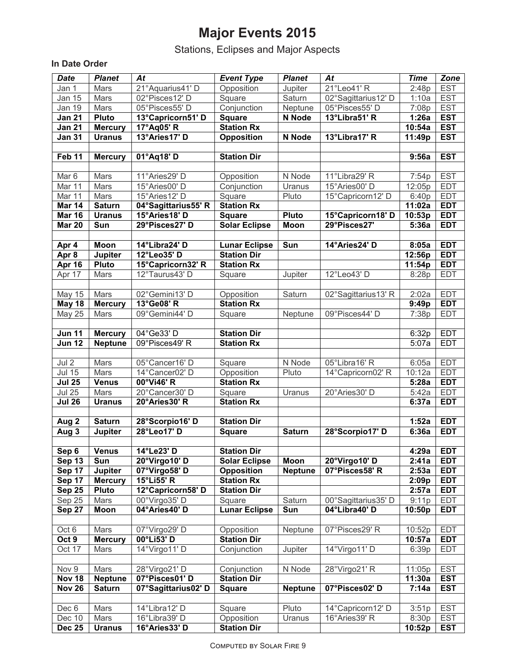## **Major Events 2015**

Stations, Eclipses and Major Aspects

#### **In Date Order**

| <b>Date</b>         | <b>Planet</b>  | At                  | <b>Event Type</b>    | <b>Planet</b>  | At                  | <b>Time</b> | Zone       |
|---------------------|----------------|---------------------|----------------------|----------------|---------------------|-------------|------------|
| Jan 1               | Mars           | 21°Aquarius41' D    | Opposition           | Jupiter        | 21°Leo41' R         | 2:48p       | <b>EST</b> |
| Jan 15              | Mars           | 02°Pisces12'D       | Square               | Saturn         | 02°Sagittarius12' D | 1:10a       | <b>EST</b> |
| <b>Jan 19</b>       | Mars           | 05°Pisces55'D       | Conjunction          | Neptune        | 05°Pisces55'D       | 7:08p       | <b>EST</b> |
| <b>Jan 21</b>       | <b>Pluto</b>   | 13°Capricorn51' D   | <b>Square</b>        | N Node         | 13°Libra51' R       | 1:26a       | <b>EST</b> |
| <b>Jan 21</b>       |                | 17°Aq05' R          | <b>Station Rx</b>    |                |                     | 10:54a      | <b>EST</b> |
| <b>Jan 31</b>       | <b>Mercury</b> | 13°Aries17' D       |                      | N Node         | 13°Libra17' R       |             | <b>EST</b> |
|                     | <b>Uranus</b>  |                     | <b>Opposition</b>    |                |                     | 11:49p      |            |
|                     |                |                     |                      |                |                     |             |            |
| Feb 11              | <b>Mercury</b> | 01°Aq18' D          | <b>Station Dir</b>   |                |                     | 9:56a       | <b>EST</b> |
|                     |                |                     |                      |                |                     |             |            |
| Mar <sub>6</sub>    | Mars           | 11°Aries29' D       | Opposition           | N Node         | 11°Libra29' R       | 7:54p       | <b>EST</b> |
| Mar 11              | Mars           | 15°Aries00' D       | Conjunction          | Uranus         | 15°Aries00' D       | 12:05p      | <b>EDT</b> |
| Mar 11              | Mars           | 15° Aries 12' D     | Square               | Pluto          | 15°Capricorn12' D   | 6:40p       | <b>EDT</b> |
| Mar 14              | <b>Saturn</b>  | 04°Sagittarius55' R | <b>Station Rx</b>    |                |                     | 11:02a      | <b>EDT</b> |
| <b>Mar 16</b>       | <b>Uranus</b>  | 15°Aries18' D       | <b>Square</b>        | <b>Pluto</b>   | 15°Capricorn18' D   | 10:53p      | <b>EDT</b> |
| <b>Mar 20</b>       | Sun            | 29°Pisces27' D      | <b>Solar Eclipse</b> | <b>Moon</b>    | 29°Pisces27'        | 5:36a       | <b>EDT</b> |
|                     |                |                     |                      |                |                     |             |            |
| Apr 4               | Moon           | 14°Libra24' D       | <b>Lunar Eclipse</b> | Sun            | 14°Aries24' D       | 8:05a       | <b>EDT</b> |
| Apr 8               | <b>Jupiter</b> | 12°Leo35' D         | <b>Station Dir</b>   |                |                     | 12:56p      | <b>EDT</b> |
| Apr 16              | <b>Pluto</b>   | 15°Capricorn32' R   | <b>Station Rx</b>    |                |                     | 11:54p      | <b>EDT</b> |
| Apr 17              | Mars           | 12°Taurus43' D      | Square               | Jupiter        | 12°Leo43' D         | 8:28p       | <b>EDT</b> |
|                     |                |                     |                      |                |                     |             |            |
| <b>May 15</b>       | Mars           | 02°Gemini13'D       | Opposition           | Saturn         | 02°Sagittarius13' R | 2:02a       | <b>EDT</b> |
| <b>May 18</b>       | <b>Mercury</b> | 13°Ge08' R          | <b>Station Rx</b>    |                |                     | 9:49p       | <b>EDT</b> |
| <b>May 25</b>       | Mars           | 09°Gemini44' D      | Square               | Neptune        | 09°Pisces44' D      | 7:38p       | <b>EDT</b> |
|                     |                |                     |                      |                |                     |             |            |
| Jun $\overline{11}$ | <b>Mercury</b> | 04°Ge33' D          | <b>Station Dir</b>   |                |                     | 6:32p       | <b>EDT</b> |
| $J$ un 12           | <b>Neptune</b> | 09°Pisces49'R       | <b>Station Rx</b>    |                |                     | 5:07a       | <b>EDT</b> |
|                     |                |                     |                      |                |                     |             |            |
| Jul 2               | Mars           | 05°Cancer16' D      | Square               | N Node         | 05°Libra16' R       | 6:05a       | <b>EDT</b> |
| <b>Jul 15</b>       | Mars           | 14°Cancer02' D      | Opposition           | Pluto          | 14°Capricorn02' R   | 10:12a      | <b>EDT</b> |
| <b>Jul 25</b>       | <b>Venus</b>   | 00°Vi46' R          | <b>Station Rx</b>    |                |                     | 5:28a       | <b>EDT</b> |
| <b>Jul 25</b>       | Mars           | 20°Cancer30' D      | Square               | Uranus         | 20°Aries30' D       | 5:42a       | <b>EDT</b> |
| <b>Jul 26</b>       | <b>Uranus</b>  | 20°Aries30' R       | <b>Station Rx</b>    |                |                     | 6:37a       | <b>EDT</b> |
|                     |                |                     |                      |                |                     |             |            |
| Aug 2               | <b>Saturn</b>  | 28°Scorpio16' D     | <b>Station Dir</b>   |                |                     | 1:52a       | <b>EDT</b> |
| Aug $3$             | <b>Jupiter</b> | 28°Leo17' D         | <b>Square</b>        | <b>Saturn</b>  | 28°Scorpio17' D     | 6:36a       | <b>EDT</b> |
|                     |                |                     |                      |                |                     |             |            |
| Sep 6               | <b>Venus</b>   | 14°Le23'D           | <b>Station Dir</b>   |                |                     | 4:29a       | <b>EDT</b> |
| Sep 13              | Sun            | 20°Virgo10' D       | <b>Solar Eclipse</b> | Moon           | 20°Virgo10' D       | 2:41a       | <b>EDT</b> |
| Sep $17$            | <b>Jupiter</b> | 07°Virgo58' D       | <b>Opposition</b>    | <b>Neptune</b> | 07°Pisces58' R      | 2:53a       | <b>EDT</b> |
| Sep 17              | <b>Mercury</b> | 15°Li55' R          | <b>Station Rx</b>    |                |                     | 2:09p       | <b>EDT</b> |
| <b>Sep 25</b>       | Pluto          | 12°Capricorn58' D   | <b>Station Dir</b>   |                |                     | 2:57a       | <b>EDT</b> |
| Sep 25              | Mars           | 00°Virgo35' D       | Square               | Saturn         | 00°Sagittarius35' D | 9:11p       | <b>EDT</b> |
| Sep $27$            | Moon           | 04°Aries40' D       | <b>Lunar Eclipse</b> | Sun            | 04°Libra40' D       | 10:50p      | <b>EDT</b> |
|                     |                |                     |                      |                |                     |             |            |
| Oct 6               | Mars           | 07°Virgo29' D       | Opposition           | Neptune        | 07°Pisces29'R       | 10:52p      | <b>EDT</b> |
| Oct 9               | <b>Mercury</b> | 00°Li53' D          | <b>Station Dir</b>   |                |                     | 10:57a      | <b>EDT</b> |
| Oct 17              | Mars           | 14°Virgo11' D       | Conjunction          | Jupiter        | 14°Virgo11' D       | 6:39p       | <b>EDT</b> |
|                     |                |                     |                      |                |                     |             |            |
| Nov 9               | Mars           | 28°Virgo21' D       | Conjunction          | N Node         | 28°Virgo21' R       | 11:05p      | <b>EST</b> |
| <b>Nov 18</b>       | <b>Neptune</b> | 07°Pisces01'D       | <b>Station Dir</b>   |                |                     | 11:30a      | <b>EST</b> |
| <b>Nov 26</b>       | <b>Saturn</b>  | 07°Sagittarius02' D | <b>Square</b>        | <b>Neptune</b> | 07°Pisces02'D       | 7:14a       | <b>EST</b> |
|                     |                |                     |                      |                |                     |             |            |
| Dec 6               | Mars           | 14°Libra12' D       | Square               | Pluto          | 14°Capricorn12' D   | 3:51p       | <b>EST</b> |
| Dec 10              | Mars           | 16°Libra39' D       | Opposition           | Uranus         | 16°Aries39' R       | 8:30p       | <b>EST</b> |
| <b>Dec 25</b>       | <b>Uranus</b>  | 16°Aries33' D       | <b>Station Dir</b>   |                |                     | 10:52p      | <b>EST</b> |
|                     |                |                     |                      |                |                     |             |            |